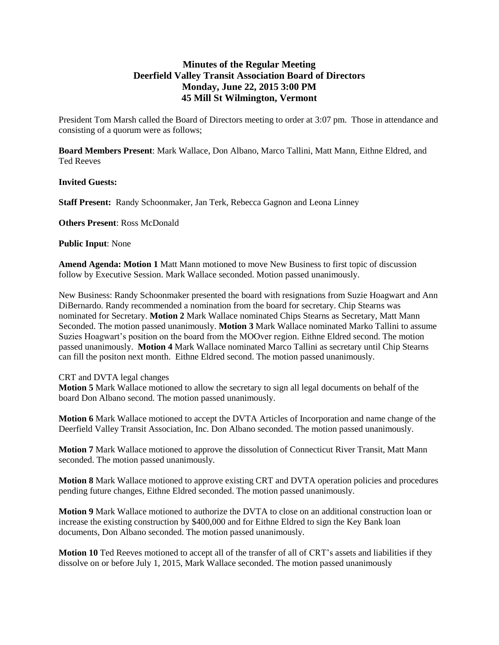## **Minutes of the Regular Meeting Deerfield Valley Transit Association Board of Directors Monday, June 22, 2015 3:00 PM 45 Mill St Wilmington, Vermont**

President Tom Marsh called the Board of Directors meeting to order at 3:07 pm. Those in attendance and consisting of a quorum were as follows;

**Board Members Present**: Mark Wallace, Don Albano, Marco Tallini, Matt Mann, Eithne Eldred, and Ted Reeves

**Invited Guests:**

**Staff Present:** Randy Schoonmaker, Jan Terk, Rebecca Gagnon and Leona Linney

**Others Present**: Ross McDonald

**Public Input**: None

**Amend Agenda: Motion 1** Matt Mann motioned to move New Business to first topic of discussion follow by Executive Session. Mark Wallace seconded. Motion passed unanimously.

New Business: Randy Schoonmaker presented the board with resignations from Suzie Hoagwart and Ann DiBernardo. Randy recommended a nomination from the board for secretary. Chip Stearns was nominated for Secretary. **Motion 2** Mark Wallace nominated Chips Stearns as Secretary, Matt Mann Seconded. The motion passed unanimously. **Motion 3** Mark Wallace nominated Marko Tallini to assume Suzies Hoagwart's position on the board from the MOOver region. Eithne Eldred second. The motion passed unanimously. **Motion 4** Mark Wallace nominated Marco Tallini as secretary until Chip Stearns can fill the positon next month. Eithne Eldred second. The motion passed unanimously.

## CRT and DVTA legal changes

**Motion 5** Mark Wallace motioned to allow the secretary to sign all legal documents on behalf of the board Don Albano second. The motion passed unanimously.

**Motion 6** Mark Wallace motioned to accept the DVTA Articles of Incorporation and name change of the Deerfield Valley Transit Association, Inc. Don Albano seconded. The motion passed unanimously.

**Motion 7** Mark Wallace motioned to approve the dissolution of Connecticut River Transit, Matt Mann seconded. The motion passed unanimously.

**Motion 8** Mark Wallace motioned to approve existing CRT and DVTA operation policies and procedures pending future changes, Eithne Eldred seconded. The motion passed unanimously.

**Motion 9** Mark Wallace motioned to authorize the DVTA to close on an additional construction loan or increase the existing construction by \$400,000 and for Eithne Eldred to sign the Key Bank loan documents, Don Albano seconded. The motion passed unanimously.

**Motion 10** Ted Reeves motioned to accept all of the transfer of all of CRT's assets and liabilities if they dissolve on or before July 1, 2015, Mark Wallace seconded. The motion passed unanimously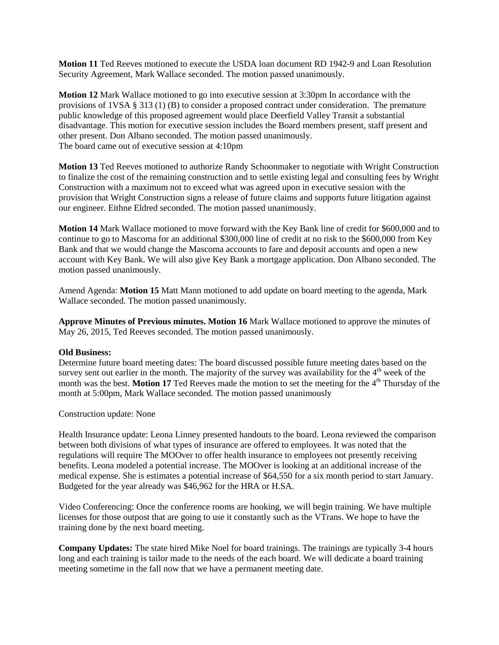**Motion 11** Ted Reeves motioned to execute the USDA loan document RD 1942-9 and Loan Resolution Security Agreement, Mark Wallace seconded. The motion passed unanimously.

**Motion 12** Mark Wallace motioned to go into executive session at 3:30pm In accordance with the provisions of 1VSA § 313 (1) (B) to consider a proposed contract under consideration. The premature public knowledge of this proposed agreement would place Deerfield Valley Transit a substantial disadvantage. This motion for executive session includes the Board members present, staff present and other present. Don Albano seconded. The motion passed unanimously. The board came out of executive session at 4:10pm

**Motion 13** Ted Reeves motioned to authorize Randy Schoonmaker to negotiate with Wright Construction to finalize the cost of the remaining construction and to settle existing legal and consulting fees by Wright Construction with a maximum not to exceed what was agreed upon in executive session with the provision that Wright Construction signs a release of future claims and supports future litigation against our engineer. Eithne Eldred seconded. The motion passed unanimously.

**Motion 14** Mark Wallace motioned to move forward with the Key Bank line of credit for \$600,000 and to continue to go to Mascoma for an additional \$300,000 line of credit at no risk to the \$600,000 from Key Bank and that we would change the Mascoma accounts to fare and deposit accounts and open a new account with Key Bank. We will also give Key Bank a mortgage application. Don Albano seconded. The motion passed unanimously.

Amend Agenda: **Motion 15** Matt Mann motioned to add update on board meeting to the agenda, Mark Wallace seconded. The motion passed unanimously.

**Approve Minutes of Previous minutes. Motion 16** Mark Wallace motioned to approve the minutes of May 26, 2015, Ted Reeves seconded. The motion passed unanimously.

## **Old Business:**

Determine future board meeting dates: The board discussed possible future meeting dates based on the survey sent out earlier in the month. The majority of the survey was availability for the  $4<sup>th</sup>$  week of the month was the best. **Motion 17** Ted Reeves made the motion to set the meeting for the 4<sup>th</sup> Thursday of the month at 5:00pm, Mark Wallace seconded. The motion passed unanimously

## Construction update: None

Health Insurance update: Leona Linney presented handouts to the board. Leona reviewed the comparison between both divisions of what types of insurance are offered to employees. It was noted that the regulations will require The MOOver to offer health insurance to employees not presently receiving benefits. Leona modeled a potential increase. The MOOver is looking at an additional increase of the medical expense. She is estimates a potential increase of \$64,550 for a six month period to start January. Budgeted for the year already was \$46,962 for the HRA or H.SA.

Video Conferencing: Once the conference rooms are hooking, we will begin training. We have multiple licenses for those outpost that are going to use it constantly such as the VTrans. We hope to have the training done by the next board meeting.

**Company Updates:** The state hired Mike Noel for board trainings. The trainings are typically 3-4 hours long and each training is tailor made to the needs of the each board. We will dedicate a board training meeting sometime in the fall now that we have a permanent meeting date.